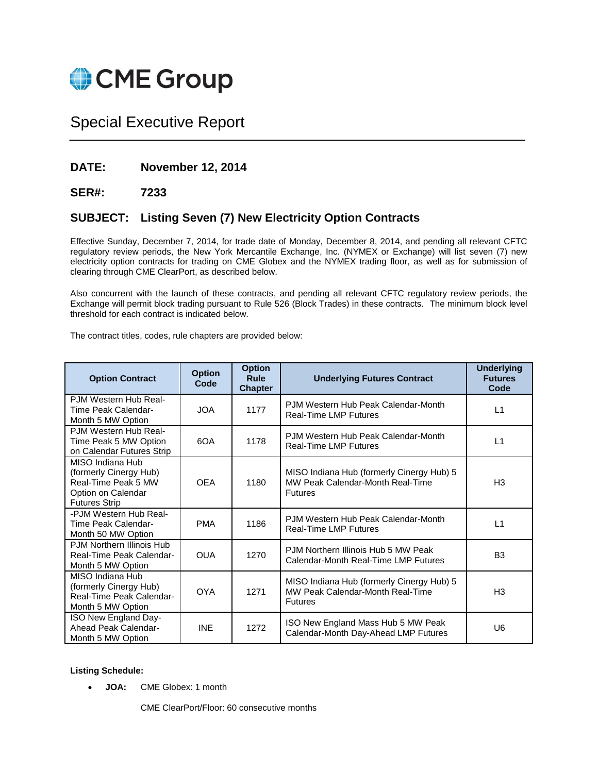

# Special Executive Report

# **DATE: November 12, 2014**

# **SER#: 7233**

# **SUBJECT: Listing Seven (7) New Electricity Option Contracts**

Effective Sunday, December 7, 2014, for trade date of Monday, December 8, 2014, and pending all relevant CFTC regulatory review periods, the New York Mercantile Exchange, Inc. (NYMEX or Exchange) will list seven (7) new electricity option contracts for trading on CME Globex and the NYMEX trading floor, as well as for submission of clearing through CME ClearPort, as described below.

Also concurrent with the launch of these contracts, and pending all relevant CFTC regulatory review periods, the Exchange will permit block trading pursuant to Rule 526 (Block Trades) in these contracts. The minimum block level threshold for each contract is indicated below.

The contract titles, codes, rule chapters are provided below:

| <b>Option Contract</b>                                                                                          | <b>Option</b><br>Code | <b>Option</b><br>Rule<br><b>Chapter</b> | <b>Underlying Futures Contract</b>                                                              | <b>Underlying</b><br><b>Futures</b><br>Code |
|-----------------------------------------------------------------------------------------------------------------|-----------------------|-----------------------------------------|-------------------------------------------------------------------------------------------------|---------------------------------------------|
| P.JM Western Hub Real-<br>Time Peak Calendar-<br>Month 5 MW Option                                              | <b>JOA</b>            | 1177                                    | PJM Western Hub Peak Calendar-Month<br><b>Real-Time LMP Futures</b>                             | L1                                          |
| P.JM Western Hub Real-<br>Time Peak 5 MW Option<br>on Calendar Futures Strip                                    | 6OA                   | 1178                                    | PJM Western Hub Peak Calendar-Month<br><b>Real-Time LMP Futures</b>                             | L1                                          |
| MISO Indiana Hub<br>(formerly Cinergy Hub)<br>Real-Time Peak 5 MW<br>Option on Calendar<br><b>Futures Strip</b> | <b>OEA</b>            | 1180                                    | MISO Indiana Hub (formerly Cinergy Hub) 5<br>MW Peak Calendar-Month Real-Time<br><b>Futures</b> | H <sub>3</sub>                              |
| -PJM Western Hub Real-<br>Time Peak Calendar-<br>Month 50 MW Option                                             | <b>PMA</b>            | 1186                                    | PJM Western Hub Peak Calendar-Month<br><b>Real-Time LMP Futures</b>                             | L1                                          |
| PJM Northern Illinois Hub<br>Real-Time Peak Calendar-<br>Month 5 MW Option                                      | <b>OUA</b>            | 1270                                    | PJM Northern Illinois Hub 5 MW Peak<br>Calendar-Month Real-Time LMP Futures                     | B <sub>3</sub>                              |
| MISO Indiana Hub<br>(formerly Cinergy Hub)<br>Real-Time Peak Calendar-<br>Month 5 MW Option                     | <b>OYA</b>            | 1271                                    | MISO Indiana Hub (formerly Cinergy Hub) 5<br>MW Peak Calendar-Month Real-Time<br><b>Futures</b> | H <sub>3</sub>                              |
| ISO New England Day-<br>Ahead Peak Calendar-<br>Month 5 MW Option                                               | <b>INE</b>            | 1272                                    | ISO New England Mass Hub 5 MW Peak<br>Calendar-Month Day-Ahead LMP Futures                      | U6                                          |

### **Listing Schedule:**

**JOA:** CME Globex: 1 month

CME ClearPort/Floor: 60 consecutive months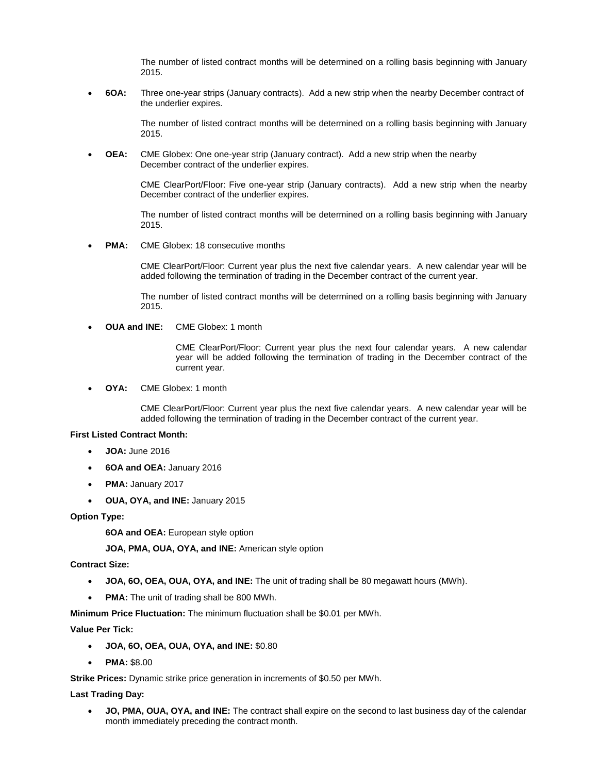The number of listed contract months will be determined on a rolling basis beginning with January 2015.

 **6OA:** Three one-year strips (January contracts). Add a new strip when the nearby December contract of the underlier expires.

> The number of listed contract months will be determined on a rolling basis beginning with January 2015.

 **OEA:** CME Globex: One one-year strip (January contract). Add a new strip when the nearby December contract of the underlier expires.

> CME ClearPort/Floor: Five one-year strip (January contracts). Add a new strip when the nearby December contract of the underlier expires.

> The number of listed contract months will be determined on a rolling basis beginning with January 2015.

**PMA:** CME Globex: 18 consecutive months

CME ClearPort/Floor: Current year plus the next five calendar years. A new calendar year will be added following the termination of trading in the December contract of the current year.

The number of listed contract months will be determined on a rolling basis beginning with January 2015.

**OUA and INE:** CME Globex: 1 month

CME ClearPort/Floor: Current year plus the next four calendar years. A new calendar year will be added following the termination of trading in the December contract of the current year.

**OYA:** CME Globex: 1 month

CME ClearPort/Floor: Current year plus the next five calendar years. A new calendar year will be added following the termination of trading in the December contract of the current year.

#### **First Listed Contract Month:**

- **JOA:** June 2016
- **6OA and OEA:** January 2016
- **PMA:** January 2017
- **OUA, OYA, and INE:** January 2015

**Option Type:**

**6OA and OEA:** European style option

**JOA, PMA, OUA, OYA, and INE:** American style option

**Contract Size:**

- **JOA, 6O, OEA, OUA, OYA, and INE:** The unit of trading shall be 80 megawatt hours (MWh).
- **PMA:** The unit of trading shall be 800 MWh.

**Minimum Price Fluctuation:** The minimum fluctuation shall be \$0.01 per MWh.

**Value Per Tick:**

- **JOA, 6O, OEA, OUA, OYA, and INE:** \$0.80
- **PMA:** \$8.00

**Strike Prices:** Dynamic strike price generation in increments of \$0.50 per MWh.

**Last Trading Day:**

 **JO, PMA, OUA, OYA, and INE:** The contract shall expire on the second to last business day of the calendar month immediately preceding the contract month.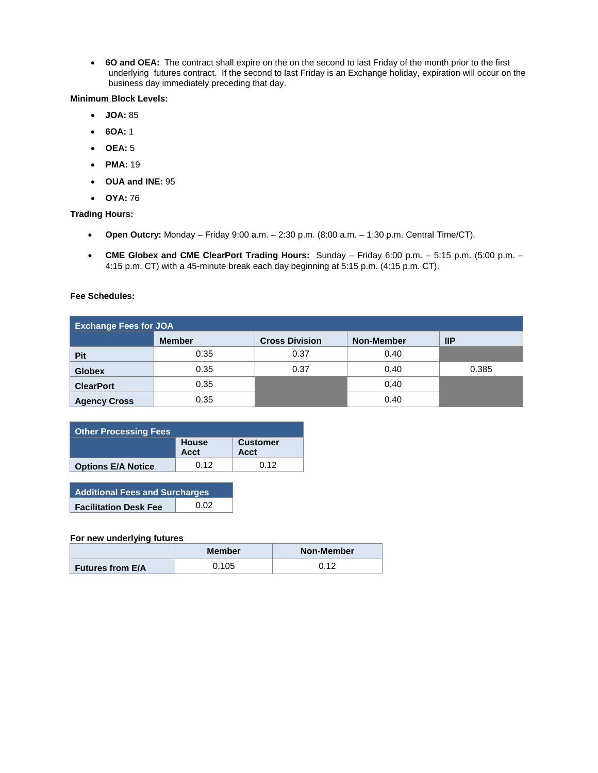**6O and OEA:** The contract shall expire on the on the second to last Friday of the month prior to the first underlying futures contract. If the second to last Friday is an Exchange holiday, expiration will occur on the business day immediately preceding that day.

### **Minimum Block Levels:**

- **JOA:** 85
- **6OA:** 1
- **OEA:** 5
- **PMA:** 19
- **OUA and INE:** 95
- **OYA:** 76

## **Trading Hours:**

- **Open Outcry:** Monday Friday 9:00 a.m. 2:30 p.m. (8:00 a.m. 1:30 p.m. Central Time/CT).
- **CME Globex and CME ClearPort Trading Hours:** Sunday Friday 6:00 p.m. 5:15 p.m. (5:00 p.m. 4:15 p.m. CT) with a 45-minute break each day beginning at 5:15 p.m. (4:15 p.m. CT).

#### **Fee Schedules:**

| <b>Exchange Fees for JOA</b> |               |                       |                   |               |
|------------------------------|---------------|-----------------------|-------------------|---------------|
|                              | <b>Member</b> | <b>Cross Division</b> | <b>Non-Member</b> | $\mathsf{HP}$ |
| <b>Pit</b>                   | 0.35          | 0.37                  | 0.40              |               |
| <b>Globex</b>                | 0.35          | 0.37                  | 0.40              | 0.385         |
| <b>ClearPort</b>             | 0.35          |                       | 0.40              |               |
| <b>Agency Cross</b>          | 0.35          |                       | 0.40              |               |

| <b>Other Processing Fees</b> |               |                         |  |  |
|------------------------------|---------------|-------------------------|--|--|
|                              | House<br>Acct | <b>Customer</b><br>Acct |  |  |
| <b>Options E/A Notice</b>    | 0.12          | 0.12                    |  |  |

| <b>Additional Fees and Surcharges</b> |      |  |
|---------------------------------------|------|--|
| <b>Facilitation Desk Fee</b>          | 0.02 |  |

#### **For new underlying futures**

|                         | <b>Member</b> | Non-Member |
|-------------------------|---------------|------------|
| <b>Futures from E/A</b> | 0.105         | ∩ 1つ       |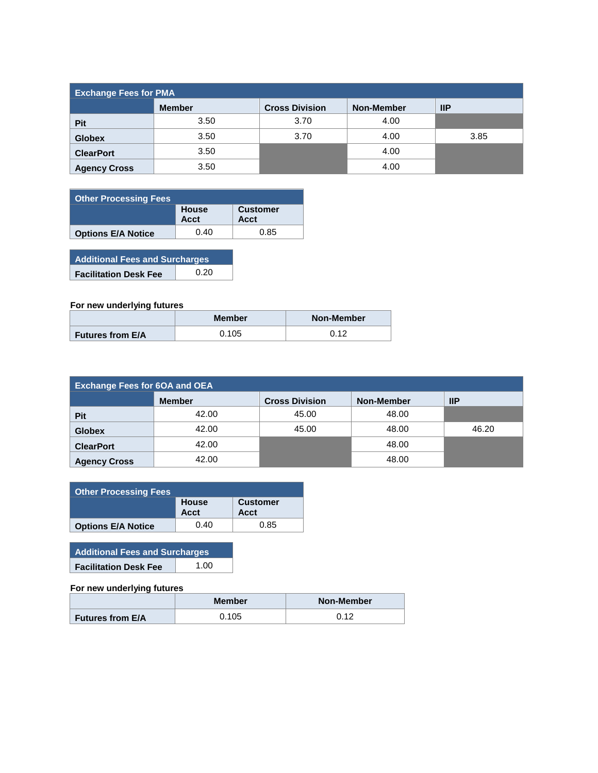| <b>Exchange Fees for PMA</b> |               |                       |            |               |
|------------------------------|---------------|-----------------------|------------|---------------|
|                              | <b>Member</b> | <b>Cross Division</b> | Non-Member | $\mathsf{HP}$ |
| <b>Pit</b>                   | 3.50          | 3.70                  | 4.00       |               |
| <b>Globex</b>                | 3.50          | 3.70                  | 4.00       | 3.85          |
| <b>ClearPort</b>             | 3.50          |                       | 4.00       |               |
| <b>Agency Cross</b>          | 3.50          |                       | 4.00       |               |

| Other Processing Fees     |                      |                         |
|---------------------------|----------------------|-------------------------|
|                           | House<br><b>Acct</b> | <b>Customer</b><br>Acct |
| <b>Options E/A Notice</b> | 0.40                 | 0.85                    |

**Additional Fees and Surcharges Facilitation Desk Fee** 0.20

# **For new underlying futures**

|                         | <b>Member</b> | Non-Member |
|-------------------------|---------------|------------|
| <b>Futures from E/A</b> | 0.105         | ດ 4 ລ      |

| <b>Exchange Fees for 6OA and OEA</b> |               |                       |            |            |
|--------------------------------------|---------------|-----------------------|------------|------------|
|                                      | <b>Member</b> | <b>Cross Division</b> | Non-Member | <b>IIP</b> |
| <b>Pit</b>                           | 42.00         | 45.00                 | 48.00      |            |
| <b>Globex</b>                        | 42.00         | 45.00                 | 48.00      | 46.20      |
| <b>ClearPort</b>                     | 42.00         |                       | 48.00      |            |
| <b>Agency Cross</b>                  | 42.00         |                       | 48.00      |            |

| <b>Other Processing Fees</b> |               |                         |  |  |
|------------------------------|---------------|-------------------------|--|--|
|                              | House<br>Acct | <b>Customer</b><br>Acct |  |  |
| <b>Options E/A Notice</b>    | 0.40          | 0.85                    |  |  |

| <b>Additional Fees and Surcharges</b> |      |  |
|---------------------------------------|------|--|
| <b>Facilitation Desk Fee</b>          | 1.00 |  |

## **For new underlying futures**

|                         | Member | <b>Non-Member</b> |
|-------------------------|--------|-------------------|
| <b>Futures from E/A</b> | 0.105  | 0.12              |